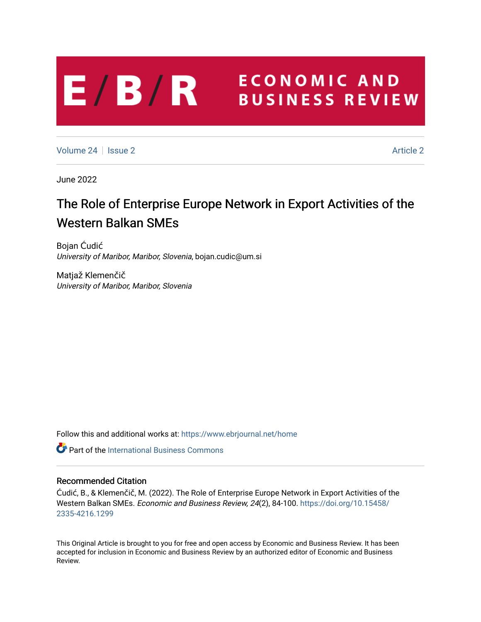# **ECONOMIC AND**  $E/B/R$ **BUSINESS REVIEW**

[Volume 24](https://www.ebrjournal.net/home/vol24) | [Issue 2](https://www.ebrjournal.net/home/vol24/iss2) [Article 2](https://www.ebrjournal.net/home/vol24/iss2/2) Article 2

June 2022

# The Role of Enterprise Europe Network in Export Activities of the Western Balkan SMEs

Bojan Ćudić University of Maribor, Maribor, Slovenia, bojan.cudic@um.si

Matjaž Klemenčič University of Maribor, Maribor, Slovenia

Follow this and additional works at: [https://www.ebrjournal.net/home](https://www.ebrjournal.net/home?utm_source=www.ebrjournal.net%2Fhome%2Fvol24%2Fiss2%2F2&utm_medium=PDF&utm_campaign=PDFCoverPages) 

**C** Part of the International Business Commons

# Recommended Citation

Ćudić, B., & Klemenčič, M. (2022). The Role of Enterprise Europe Network in Export Activities of the Western Balkan SMEs. Economic and Business Review, 24(2), 84-100. [https://doi.org/10.15458/](https://doi.org/10.15458/2335-4216.1299) [2335-4216.1299](https://doi.org/10.15458/2335-4216.1299) 

This Original Article is brought to you for free and open access by Economic and Business Review. It has been accepted for inclusion in Economic and Business Review by an authorized editor of Economic and Business Review.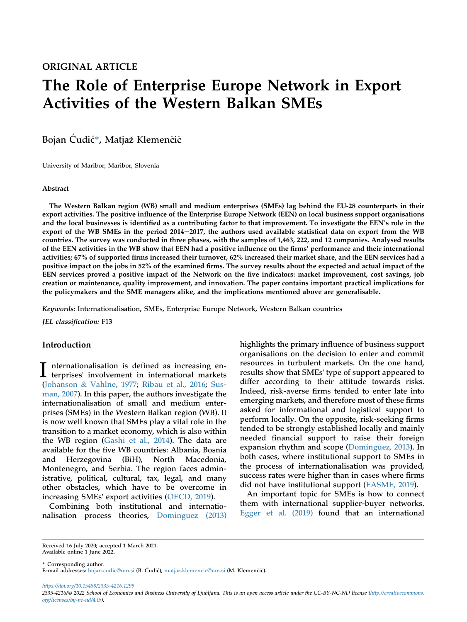# The Role of Enterprise Europe Network in Export Activities of the Western Balkan SMEs

Bojan Ćudić\*, Matjaž Klemenčič

University of Maribor, Maribor, Slovenia

#### Abstract

The Western Balkan region (WB) small and medium enterprises (SMEs) lag behind the EU-28 counterparts in their export activities. The positive influence of the Enterprise Europe Network (EEN) on local business support organisations and the local businesses is identified as a contributing factor to that improvement. To investigate the EEN's role in the export of the WB SMEs in the period 2014–2017, the authors used available statistical data on export from the WB countries. The survey was conducted in three phases, with the samples of 1,463, 222, and 12 companies. Analysed results of the EEN activities in the WB show that EEN had a positive influence on the firms' performance and their international activities; 67% of supported firms increased their turnover, 62% increased their market share, and the EEN services had a positive impact on the jobs in 52% of the examined firms. The survey results about the expected and actual impact of the EEN services proved a positive impact of the Network on the five indicators: market improvement, cost savings, job creation or maintenance, quality improvement, and innovation. The paper contains important practical implications for the policymakers and the SME managers alike, and the implications mentioned above are generalisable.

Keywords: Internationalisation, SMEs, Enterprise Europe Network, Western Balkan countries

JEL classification: F13

# Introduction

I nternationalisation is defined as increasing en-<br>terprises' involvement in international markets [\(Johanson](#page-15-0) & [Vahlne, 1977;](#page-15-0) [Ribau et al., 2016](#page-15-1); [Sus](#page-15-2)[man, 2007](#page-15-2)). In this paper, the authors investigate the internationalisation of small and medium enterprises (SMEs) in the Western Balkan region (WB). It is now well known that SMEs play a vital role in the transition to a market economy, which is also within the WB region ([Gashi et al., 2014\)](#page-15-3). The data are available for the five WB countries: Albania, Bosnia and Herzegovina (BiH), North Macedonia, Montenegro, and Serbia. The region faces administrative, political, cultural, tax, legal, and many other obstacles, which have to be overcome in increasing SMEs' export activities [\(OECD, 2019\)](#page-15-4).

Combining both institutional and internationalisation process theories, [Dominguez \(2013\)](#page-15-5) highlights the primary influence of business support organisations on the decision to enter and commit resources in turbulent markets. On the one hand, results show that SMEs' type of support appeared to differ according to their attitude towards risks. Indeed, risk-averse firms tended to enter late into emerging markets, and therefore most of these firms asked for informational and logistical support to perform locally. On the opposite, risk-seeking firms tended to be strongly established locally and mainly needed financial support to raise their foreign expansion rhythm and scope ([Dominguez, 2013](#page-15-5)). In both cases, where institutional support to SMEs in the process of internationalisation was provided, success rates were higher than in cases where firms did not have institutional support ([EASME, 2019](#page-15-6)).

An important topic for SMEs is how to connect them with international supplier-buyer networks. [Egger et al. \(2019\)](#page-15-7) found that an international

Received 16 July 2020; accepted 1 March 2021. Available online 1 June 2022.

\* Corresponding author.

E-mail addresses: [bojan.cudic@um.si](mailto:bojan.cudic@um.si) (B. Ćudić), [matjaz.klemencic@um.si](mailto:matjaz.klemencic@um.si) (M. Klemenčič).

https://doi.org/10.15458/2335-4216.1299

<sup>2335-4216/</sup>© 2022 School of Economics and Business University of Ljubljana. This is an open access article under the CC-BY-NC-ND license [\(http://creativecommons.](http://creativecommons.org/licenses/by-nc-nd/4.0/) [org/licenses/by-nc-nd/4.0/](http://creativecommons.org/licenses/by-nc-nd/4.0/)).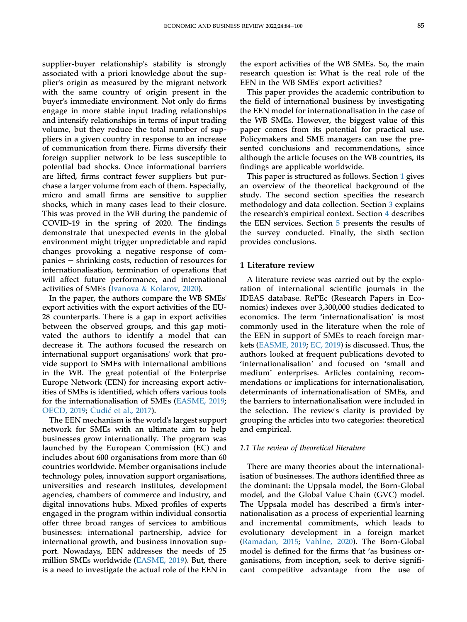supplier-buyer relationship's stability is strongly associated with a priori knowledge about the supplier's origin as measured by the migrant network with the same country of origin present in the buyer's immediate environment. Not only do firms engage in more stable input trading relationships and intensify relationships in terms of input trading volume, but they reduce the total number of suppliers in a given country in response to an increase of communication from there. Firms diversify their foreign supplier network to be less susceptible to potential bad shocks. Once informational barriers are lifted, firms contract fewer suppliers but purchase a larger volume from each of them. Especially, micro and small firms are sensitive to supplier shocks, which in many cases lead to their closure. This was proved in the WB during the pandemic of COVID-19 in the spring of 2020. The findings demonstrate that unexpected events in the global environment might trigger unpredictable and rapid changes provoking a negative response of com $panies - shrinking costs, reduction of resources for$ internationalisation, termination of operations that will affect future performance, and international activities of SMEs ([Ivanova](#page-15-8) & [Kolarov, 2020](#page-15-8)).

In the paper, the authors compare the WB SMEs' export activities with the export activities of the EU-28 counterparts. There is a gap in export activities between the observed groups, and this gap motivated the authors to identify a model that can decrease it. The authors focused the research on international support organisations' work that provide support to SMEs with international ambitions in the WB. The great potential of the Enterprise Europe Network (EEN) for increasing export activities of SMEs is identified, which offers various tools for the internationalisation of SMEs [\(EASME, 2019;](#page-15-6) [OECD, 2019](#page-15-4); C[udi](#page-14-0)ć et al., 2017).

The EEN mechanism is the world's largest support network for SMEs with an ultimate aim to help businesses grow internationally. The program was launched by the European Commission (EC) and includes about 600 organisations from more than 60 countries worldwide. Member organisations include technology poles, innovation support organisations, universities and research institutes, development agencies, chambers of commerce and industry, and digital innovations hubs. Mixed profiles of experts engaged in the program within individual consortia offer three broad ranges of services to ambitious businesses: international partnership, advice for international growth, and business innovation support. Nowadays, EEN addresses the needs of 25 million SMEs worldwide ([EASME, 2019](#page-15-6)). But, there is a need to investigate the actual role of the EEN in

the export activities of the WB SMEs. So, the main research question is: What is the real role of the EEN in the WB SMEs' export activities?

This paper provides the academic contribution to the field of international business by investigating the EEN model for internationalisation in the case of the WB SMEs. However, the biggest value of this paper comes from its potential for practical use. Policymakers and SME managers can use the presented conclusions and recommendations, since although the article focuses on the WB countries, its findings are applicable worldwide.

This paper is structured as follows. Section [1](#page-2-0) gives an overview of the theoretical background of the study. The second section specifies the research methodology and data collection. Section [3](#page-5-0) explains the research's empirical context. Section [4](#page-6-0) describes the EEN services. Section [5](#page-8-0) presents the results of the survey conducted. Finally, the sixth section provides conclusions.

### <span id="page-2-0"></span>1 Literature review

A literature review was carried out by the exploration of international scientific journals in the IDEAS database. RePEc (Research Papers in Economics) indexes over 3,300,000 studies dedicated to IDEAS database. Net EC (Research Papers in Eco-<br>nomics) indexes over 3,300,000 studies dedicated to<br>economics. The term 'internationalisation' is most commonly used in the literature when the role of the EEN in support of SMEs to reach foreign markets [\(EASME, 2019;](#page-15-6) [EC, 2019\)](#page-15-9) is discussed. Thus, the authors looked at frequent publications devoted to Rets (*EASNIE, 2019*; *EC*, *2019*) is discussed. Thus, the<br>authors looked at frequent publications devoted to<br>'internationalisation' and focused on 'small and 'internationalisation' and focused on 'small and<br>medium' enterprises. Articles containing recommendations or implications for internationalisation, determinants of internationalisation of SMEs, and the barriers to internationalisation were included in the selection. The review's clarity is provided by grouping the articles into two categories: theoretical and empirical.

#### 1.1 The review of theoretical literature

There are many theories about the internationalisation of businesses. The authors identified three as the dominant: the Uppsala model, the Born-Global model, and the Global Value Chain (GVC) model. The Uppsala model has described a firm's internationalisation as a process of experiential learning and incremental commitments, which leads to evolutionary development in a foreign market [\(Ramadan, 2015;](#page-15-10) [Vahlne, 2020](#page-15-11)). The Born-Global model is defined for the firms that 'as business organisations, from inception, seek to derive significant competitive advantage from the use of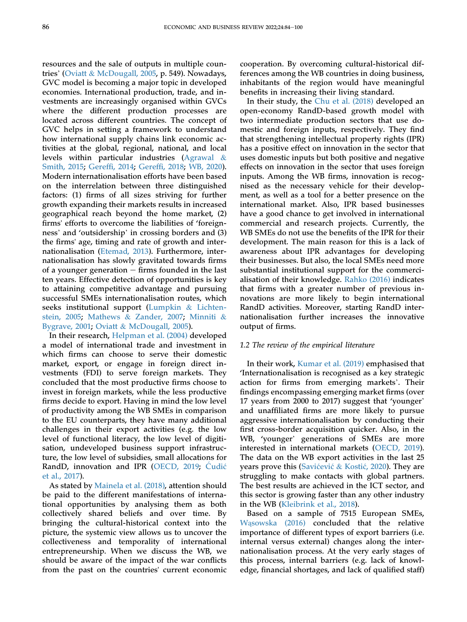resources and the sale of outputs in multiple countries' ([Oviatt](#page-15-12) & [McDougall, 2005](#page-15-12), p. 549). Nowadays, GVC model is becoming a major topic in developed economies. International production, trade, and investments are increasingly organised within GVCs where the different production processes are located across different countries. The concept of GVC helps in setting a framework to understand how international supply chains link economic activities at the global, regional, national, and local levels within particular industries ([Agrawal](#page-14-1) & [Smith, 2015;](#page-14-1) Gereffi[, 2014;](#page-15-13) Gereffi[, 2018;](#page-15-14) [WB, 2020](#page-15-15)). Modern internationalisation efforts have been based on the interrelation between three distinguished factors: (1) firms of all sizes striving for further growth expanding their markets results in increased geographical reach beyond the home market, (2) firms' efforts to overcome the liabilities of 'foreignness' and 'outsidership' in crossing borders and (3) the firms' age, timing and rate of growth and internationalisation [\(Etemad, 2013\)](#page-15-16). Furthermore, internationalisation has slowly gravitated towards firms of a younger generation  $-$  firms founded in the last ten years. Effective detection of opportunities is key to attaining competitive advantage and pursuing successful SMEs internationalisation routes, which seeks institutional support ([Lumpkin](#page-15-17) & [Lichten](#page-15-17)[stein, 2005;](#page-15-17) [Mathews](#page-15-18) & [Zander, 2007;](#page-15-18) [Minniti](#page-15-19) & [Bygrave, 2001](#page-15-19); [Oviatt](#page-15-12) & [McDougall, 2005](#page-15-12)).

In their research, [Helpman et al. \(2004\)](#page-15-20) developed a model of international trade and investment in which firms can choose to serve their domestic market, export, or engage in foreign direct investments (FDI) to serve foreign markets. They concluded that the most productive firms choose to invest in foreign markets, while the less productive firms decide to export. Having in mind the low level of productivity among the WB SMEs in comparison to the EU counterparts, they have many additional challenges in their export activities (e.g. the low level of functional literacy, the low level of digitisation, undeveloped business support infrastructure, the low level of subsidies, small allocations for RandD, innovation and IPR [\(OECD, 2019;](#page-15-4) C[udi](#page-14-0)ć [et al., 2017\)](#page-14-0).

As stated by [Mainela et al. \(2018\)](#page-15-21), attention should be paid to the different manifestations of international opportunities by analysing them as both collectively shared beliefs and over time. By bringing the cultural-historical context into the picture, the systemic view allows us to uncover the collectiveness and temporality of international entrepreneurship. When we discuss the WB, we should be aware of the impact of the war conflicts from the past on the countries' current economic

cooperation. By overcoming cultural-historical differences among the WB countries in doing business, inhabitants of the region would have meaningful benefits in increasing their living standard.

In their study, the [Chu et al. \(2018\)](#page-14-2) developed an open-economy RandD-based growth model with two intermediate production sectors that use domestic and foreign inputs, respectively. They find that strengthening intellectual property rights (IPR) has a positive effect on innovation in the sector that uses domestic inputs but both positive and negative effects on innovation in the sector that uses foreign inputs. Among the WB firms, innovation is recognised as the necessary vehicle for their development, as well as a tool for a better presence on the international market. Also, IPR based businesses have a good chance to get involved in international commercial and research projects. Currently, the WB SMEs do not use the benefits of the IPR for their development. The main reason for this is a lack of awareness about IPR advantages for developing their businesses. But also, the local SMEs need more substantial institutional support for the commercialisation of their knowledge. [Rahko \(2016\)](#page-15-22) indicates that firms with a greater number of previous innovations are more likely to begin international RandD activities. Moreover, starting RandD internationalisation further increases the innovative output of firms.

#### 1.2 The review of the empirical literature

In their work, [Kumar et al. \(2019\)](#page-15-23) emphasised that 'Internationalisation is recognised as a key strategic action for firms from emerging markets'. Their findings encompassing emerging market firms (over 17 years from 2000 to 2017) suggest that 'younger' and unaffiliated firms are more likely to pursue aggressive internationalisation by conducting their first cross-border acquisition quicker. Also, in the WB, 'younger' generations of SMEs are more interested in international markets [\(OECD, 2019\)](#page-15-4). The data on the WB export activities in the last 25 years prove this ([Savi](#page-15-24)ćević & [Kosti](#page-15-24)ć[, 2020\)](#page-15-24). They are struggling to make contacts with global partners. The best results are achieved in the ICT sector, and this sector is growing faster than any other industry in the WB [\(Kleibrink et al., 2018\)](#page-15-25).

Based on a sample of 7515 European SMEs, Wą[sowska \(2016\)](#page-15-26) concluded that the relative importance of different types of export barriers (i.e. internal versus external) changes along the internationalisation process. At the very early stages of this process, internal barriers (e.g. lack of knowledge, financial shortages, and lack of qualified staff)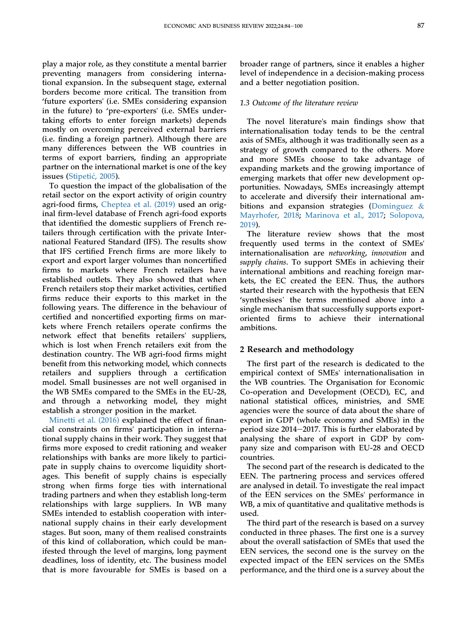play a major role, as they constitute a mental barrier preventing managers from considering international expansion. In the subsequent stage, external borders become more critical. The transition from 'future exporters' (i.e. SMEs considering expansion in the future) to 'pre-exporters' (i.e. SMEs undertaking efforts to enter foreign markets) depends mostly on overcoming perceived external barriers (i.e. finding a foreign partner). Although there are many differences between the WB countries in terms of export barriers, finding an appropriate partner on the international market is one of the key issues ([Stipeti](#page-15-27)ć, 2005).

To question the impact of the globalisation of the retail sector on the export activity of origin country agri-food firms, [Cheptea et al. \(2019\)](#page-14-3) used an original firm-level database of French agri-food exports that identified the domestic suppliers of French retailers through certification with the private International Featured Standard (IFS). The results show that IFS certified French firms are more likely to export and export larger volumes than noncertified firms to markets where French retailers have established outlets. They also showed that when French retailers stop their market activities, certified firms reduce their exports to this market in the following years. The difference in the behaviour of certified and noncertified exporting firms on markets where French retailers operate confirms the network effect that benefits retailers' suppliers, which is lost when French retailers exit from the destination country. The WB agri-food firms might benefit from this networking model, which connects retailers and suppliers through a certification model. Small businesses are not well organised in the WB SMEs compared to the SMEs in the EU-28, and through a networking model, they might establish a stronger position in the market.

[Minetti et al. \(2016\)](#page-15-28) explained the effect of financial constraints on firms' participation in international supply chains in their work. They suggest that firms more exposed to credit rationing and weaker relationships with banks are more likely to participate in supply chains to overcome liquidity shortages. This benefit of supply chains is especially strong when firms forge ties with international trading partners and when they establish long-term relationships with large suppliers. In WB many SMEs intended to establish cooperation with international supply chains in their early development stages. But soon, many of them realised constraints of this kind of collaboration, which could be manifested through the level of margins, long payment deadlines, loss of identity, etc. The business model that is more favourable for SMEs is based on a

broader range of partners, since it enables a higher level of independence in a decision-making process and a better negotiation position.

#### 1.3 Outcome of the literature review

The novel literature's main findings show that internationalisation today tends to be the central axis of SMEs, although it was traditionally seen as a strategy of growth compared to the others. More and more SMEs choose to take advantage of expanding markets and the growing importance of emerging markets that offer new development opportunities. Nowadays, SMEs increasingly attempt to accelerate and diversify their international ambitions and expansion strategies ([Dominguez](#page-15-29) & [Mayrhofer, 2018;](#page-15-29) [Marinova et al., 2017;](#page-15-30) [Solopova,](#page-15-31) [2019](#page-15-31)).

The literature review shows that the most frequently used terms in the context of SMEs' internationalisation are networking, innovation and supply chains. To support SMEs in achieving their international ambitions and reaching foreign markets, the EC created the EEN. Thus, the authors started their research with the hypothesis that EEN Rets, the EC created the EEN. Thus, the authors<br>started their research with the hypothesis that EEN<br>'synthesises' the terms mentioned above into a single mechanism that successfully supports exportoriented firms to achieve their international ambitions.

#### 2 Research and methodology

The first part of the research is dedicated to the empirical context of SMEs' internationalisation in the WB countries. The Organisation for Economic Co-operation and Development (OECD), EC, and national statistical offices, ministries, and SME agencies were the source of data about the share of export in GDP (whole economy and SMEs) in the period size  $2014-2017$ . This is further elaborated by analysing the share of export in GDP by company size and comparison with EU-28 and OECD countries.

The second part of the research is dedicated to the EEN. The partnering process and services offered are analysed in detail. To investigate the real impact of the EEN services on the SMEs' performance in WB, a mix of quantitative and qualitative methods is used.

The third part of the research is based on a survey conducted in three phases. The first one is a survey about the overall satisfaction of SMEs that used the EEN services, the second one is the survey on the expected impact of the EEN services on the SMEs performance, and the third one is a survey about the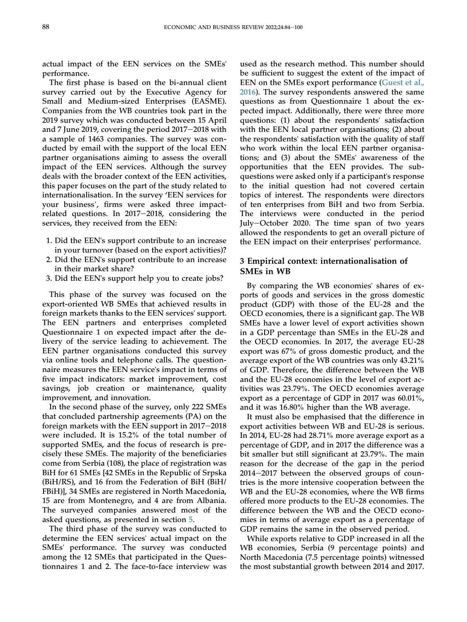actual impact of the EEN services on the SMEs' performance.

The first phase is based on the bi-annual client survey carried out by the Executive Agency for Small and Medium-sized Enterprises (EASME). Companies from the WB countries took part in the 2019 survey which was conducted between 15 April and 7 June 2019, covering the period  $2017-2018$  with a sample of 1463 companies. The survey was conducted by email with the support of the local EEN partner organisations aiming to assess the overall impact of the EEN services. Although the survey deals with the broader context of the EEN activities, this paper focuses on the part of the study related to internationalisation. In the survey 'EEN services for your business', firms were asked three impactrelated questions. In  $2017-2018$ , considering the services, they received from the EEN:

- 1. Did the EEN's support contribute to an increase in your turnover (based on the export activities)?
- 2. Did the EEN's support contribute to an increase in their market share?
- 3. Did the EEN's support help you to create jobs?

This phase of the survey was focused on the export-oriented WB SMEs that achieved results in foreign markets thanks to the EEN services' support. The EEN partners and enterprises completed Questionnaire 1 on expected impact after the delivery of the service leading to achievement. The EEN partner organisations conducted this survey via online tools and telephone calls. The questionnaire measures the EEN service's impact in terms of five impact indicators: market improvement, cost savings, job creation or maintenance, quality improvement, and innovation.

In the second phase of the survey, only 222 SMEs that concluded partnership agreements (PA) on the foreign markets with the EEN support in  $2017-2018$ were included. It is 15.2% of the total number of supported SMEs, and the focus of research is precisely these SMEs. The majority of the beneficiaries come from Serbia (108), the place of registration was BiH for 61 SMEs [42 SMEs in the Republic of Srpska (BiH/RS), and 16 from the Federation of BiH (BiH/ FBiH)], 34 SMEs are registered in North Macedonia, 15 are from Montenegro, and 4 are from Albania. The surveyed companies answered most of the asked questions, as presented in section [5](#page-8-0).

The third phase of the survey was conducted to determine the EEN services' actual impact on the SMEs' performance. The survey was conducted among the 12 SMEs that participated in the Questionnaires 1 and 2. The face-to-face interview was

used as the research method. This number should be sufficient to suggest the extent of the impact of EEN on the SMEs export performance [\(Guest et al.,](#page-15-32) [2016](#page-15-32)). The survey respondents answered the same questions as from Questionnaire 1 about the expected impact. Additionally, there were three more questions: (1) about the respondents' satisfaction with the EEN local partner organisations; (2) about the respondents' satisfaction with the quality of staff who work within the local EEN partner organisations; and (3) about the SMEs' awareness of the opportunities that the EEN provides. The subquestions were asked only if a participant's response to the initial question had not covered certain topics of interest. The respondents were directors of ten enterprises from BiH and two from Serbia. The interviews were conducted in the period July-October 2020. The time span of two years allowed the respondents to get an overall picture of the EEN impact on their enterprises' performance.

# <span id="page-5-0"></span>3 Empirical context: internationalisation of SMEs in WB

By comparing the WB economies' shares of exports of goods and services in the gross domestic product (GDP) with those of the EU-28 and the OECD economies, there is a significant gap. The WB SMEs have a lower level of export activities shown in a GDP percentage than SMEs in the EU-28 and the OECD economies. In 2017, the average EU-28 export was 67% of gross domestic product, and the average export of the WB countries was only 43.21% of GDP. Therefore, the difference between the WB and the EU-28 economies in the level of export activities was 23.79%. The OECD economies average export as a percentage of GDP in 2017 was 60.01%, and it was 16.80% higher than the WB average.

It must also be emphasised that the difference in export activities between WB and EU-28 is serious. In 2014, EU-28 had 28.71% more average export as a percentage of GDP, and in 2017 the difference was a bit smaller but still significant at 23.79%. The main reason for the decrease of the gap in the period  $2014-2017$  between the observed groups of countries is the more intensive cooperation between the WB and the EU-28 economies, where the WB firms offered more products to the EU-28 economies. The difference between the WB and the OECD economies in terms of average export as a percentage of GDP remains the same in the observed period.

While exports relative to GDP increased in all the WB economies, Serbia (9 percentage points) and North Macedonia (7.5 percentage points) witnessed the most substantial growth between 2014 and 2017.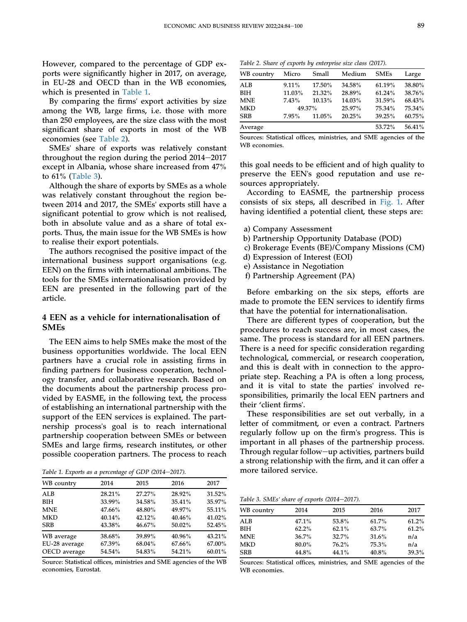However, compared to the percentage of GDP exports were significantly higher in 2017, on average, in EU-28 and OECD than in the WB economies, which is presented in [Table 1](#page-6-1).

By comparing the firms' export activities by size among the WB, large firms, i.e. those with more than 250 employees, are the size class with the most significant share of exports in most of the WB economies (see [Table 2\)](#page-6-2).

SMEs' share of exports was relatively constant throughout the region during the period  $2014-2017$ except in Albania, whose share increased from 47% to 61% [\(Table 3\)](#page-6-3).

Although the share of exports by SMEs as a whole was relatively constant throughout the region between 2014 and 2017, the SMEs' exports still have a significant potential to grow which is not realised, both in absolute value and as a share of total exports. Thus, the main issue for the WB SMEs is how to realise their export potentials.

The authors recognised the positive impact of the international business support organisations (e.g. EEN) on the firms with international ambitions. The tools for the SMEs internationalisation provided by EEN are presented in the following part of the article.

# <span id="page-6-0"></span>4 EEN as a vehicle for internationalisation of SMEs

The EEN aims to help SMEs make the most of the business opportunities worldwide. The local EEN partners have a crucial role in assisting firms in finding partners for business cooperation, technology transfer, and collaborative research. Based on the documents about the partnership process provided by EASME, in the following text, the process of establishing an international partnership with the support of the EEN services is explained. The partnership process's goal is to reach international partnership cooperation between SMEs or between SMEs and large firms, research institutes, or other possible cooperation partners. The process to reach

<span id="page-6-1"></span>Table 1. Exports as a percentage of GDP (2014–2017). more tailored service.

| WB country    | 2014   | 2015   | 2016   | 2017   |
|---------------|--------|--------|--------|--------|
| <b>ALB</b>    | 28.21% | 27.27% | 28.92% | 31.52% |
| <b>BIH</b>    | 33.99% | 34.58% | 35.41% | 35.97% |
| <b>MNE</b>    | 47.66% | 48.80% | 49.97% | 55.11% |
| <b>MKD</b>    | 40.14% | 42.12% | 40.46% | 41.02% |
| <b>SRB</b>    | 43.38% | 46.67% | 50.02% | 52.45% |
| WB average    | 38.68% | 39.89% | 40.96% | 43.21% |
| EU-28 average | 67.39% | 68.04% | 67.66% | 67.00% |
| OECD average  | 54.54% | 54.83% | 54.21% | 60.01% |

Source: Statistical offices, ministries and SME agencies of the WB economies, Eurostat.

<span id="page-6-2"></span>Table 2. Share of exports by enterprise size class (2017).

| WB country | Micro     | Small  | Medium | <b>SMEs</b> | Large     |
|------------|-----------|--------|--------|-------------|-----------|
| ALB        | $9.11\%$  | 17.50% | 34.58% | 61.19%      | 38.80%    |
| BIH        | $11.03\%$ | 21.32% | 28.89% | 61.24%      | 38.76%    |
| <b>MNE</b> | 7.43%     | 10.13% | 14.03% | 31.59%      | 68.43%    |
| <b>MKD</b> | 49.37%    |        | 25.97% | 75.34%      | 75.34%    |
| <b>SRB</b> | $7.95\%$  | 11.05% | 20.25% | 39.25%      | $60.75\%$ |
| Average    |           |        |        | 53.72%      | 56.41%    |

Sources: Statistical offices, ministries, and SME agencies of the WB economies.

this goal needs to be efficient and of high quality to preserve the EEN's good reputation and use resources appropriately.

According to EASME, the partnership process consists of six steps, all described in [Fig. 1](#page-7-0). After having identified a potential client, these steps are:

- a) Company Assessment
- b) Partnership Opportunity Database (POD)
- c) Brokerage Events (BE)/Company Missions (CM)
- d) Expression of Interest (EOI)
- e) Assistance in Negotiation
- f) Partnership Agreement (PA)

Before embarking on the six steps, efforts are made to promote the EEN services to identify firms that have the potential for internationalisation.

There are different types of cooperation, but the procedures to reach success are, in most cases, the same. The process is standard for all EEN partners. There is a need for specific consideration regarding technological, commercial, or research cooperation, and this is dealt with in connection to the appropriate step. Reaching a PA is often a long process, and it is vital to state the parties' involved responsibilities, primarily the local EEN partners and their 'client firms'.

These responsibilities are set out verbally, in a letter of commitment, or even a contract. Partners regularly follow up on the firm's progress. This is important in all phases of the partnership process. Through regular follow-up activities, partners build a strong relationship with the firm, and it can offer a

<span id="page-6-3"></span>Table 3. SMEs' share of exports (2014-2017).

| WB country | 2014     | 2015  | 2016  | 2017  |
|------------|----------|-------|-------|-------|
| ALB        | 47.1%    | 53.8% | 61.7% | 61.2% |
| BIH        | $62.2\%$ | 62.1% | 63.7% | 61.2% |
| MNE        | 36.7%    | 32.7% | 31.6% | n/a   |
| MKD        | 80.0%    | 76.2% | 75.3% | n/a   |
| SRB        | 44.8%    | 44.1% | 40.8% | 39.3% |

Sources: Statistical offices, ministries, and SME agencies of the WB economies.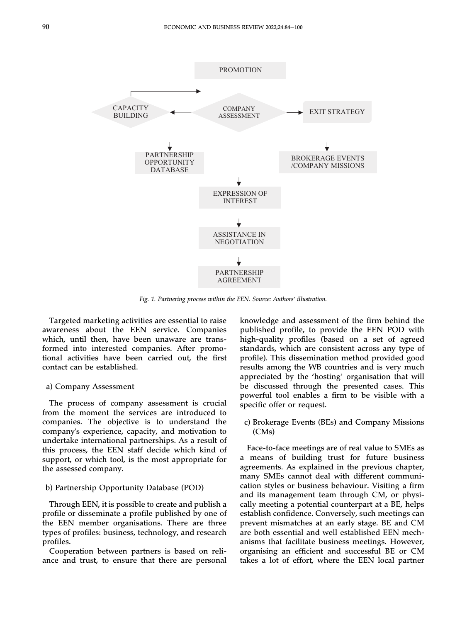<span id="page-7-0"></span>

Fig. 1. Partnering process within the EEN. Source: Authors' illustration.

Targeted marketing activities are essential to raise awareness about the EEN service. Companies which, until then, have been unaware are transformed into interested companies. After promotional activities have been carried out, the first contact can be established.

#### a) Company Assessment

The process of company assessment is crucial from the moment the services are introduced to companies. The objective is to understand the company's experience, capacity, and motivation to undertake international partnerships. As a result of this process, the EEN staff decide which kind of support, or which tool, is the most appropriate for the assessed company.

#### b) Partnership Opportunity Database (POD)

Through EEN, it is possible to create and publish a profile or disseminate a profile published by one of the EEN member organisations. There are three types of profiles: business, technology, and research profiles.

Cooperation between partners is based on reliance and trust, to ensure that there are personal knowledge and assessment of the firm behind the published profile, to provide the EEN POD with high-quality profiles (based on a set of agreed standards, which are consistent across any type of profile). This dissemination method provided good results among the WB countries and is very much appreciated by the 'hosting' organisation that will be discussed through the presented cases. This powerful tool enables a firm to be visible with a specific offer or request.

c) Brokerage Events (BEs) and Company Missions (CMs)

Face-to-face meetings are of real value to SMEs as a means of building trust for future business agreements. As explained in the previous chapter, many SMEs cannot deal with different communication styles or business behaviour. Visiting a firm and its management team through CM, or physically meeting a potential counterpart at a BE, helps establish confidence. Conversely, such meetings can prevent mismatches at an early stage. BE and CM are both essential and well established EEN mechanisms that facilitate business meetings. However, organising an efficient and successful BE or CM takes a lot of effort, where the EEN local partner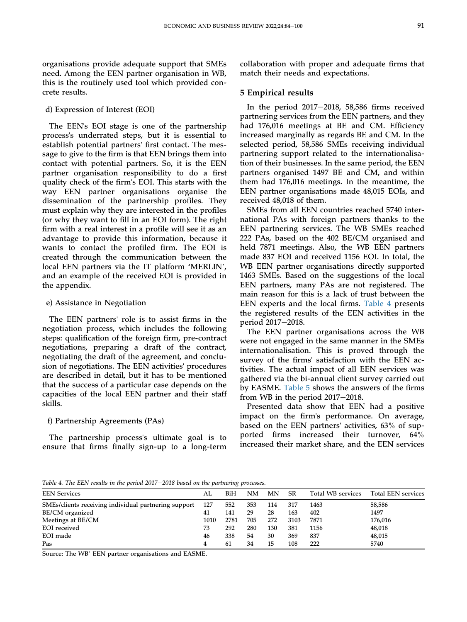organisations provide adequate support that SMEs need. Among the EEN partner organisation in WB, this is the routinely used tool which provided concrete results.

d) Expression of Interest (EOI)

The EEN's EOI stage is one of the partnership process's underrated steps, but it is essential to establish potential partners' first contact. The message to give to the firm is that EEN brings them into contact with potential partners. So, it is the EEN partner organisation responsibility to do a first quality check of the firm's EOI. This starts with the way EEN partner organisations organise the dissemination of the partnership profiles. They must explain why they are interested in the profiles (or why they want to fill in an EOI form). The right firm with a real interest in a profile will see it as an advantage to provide this information, because it wants to contact the profiled firm. The EOI is created through the communication between the wants to contact the promed firm. The EOI is<br>created through the communication between the<br>local EEN partners via the IT platform 'MERLIN', and an example of the received EOI is provided in the appendix.

### e) Assistance in Negotiation

The EEN partners' role is to assist firms in the negotiation process, which includes the following steps: qualification of the foreign firm, pre-contract negotiations, preparing a draft of the contract, negotiating the draft of the agreement, and conclusion of negotiations. The EEN activities' procedures are described in detail, but it has to be mentioned that the success of a particular case depends on the capacities of the local EEN partner and their staff skills.

### f) Partnership Agreements (PAs)

The partnership process's ultimate goal is to ensure that firms finally sign-up to a long-term

collaboration with proper and adequate firms that match their needs and expectations.

# <span id="page-8-0"></span>5 Empirical results

In the period  $2017-2018$ , 58,586 firms received partnering services from the EEN partners, and they had 176,016 meetings at BE and CM. Efficiency increased marginally as regards BE and CM. In the selected period, 58,586 SMEs receiving individual partnering support related to the internationalisation of their businesses. In the same period, the EEN partners organised 1497 BE and CM, and within them had 176,016 meetings. In the meantime, the EEN partner organisations made 48,015 EOIs, and received 48,018 of them.

SMEs from all EEN countries reached 5740 international PAs with foreign partners thanks to the EEN partnering services. The WB SMEs reached 222 PAs, based on the 402 BE/CM organised and held 7871 meetings. Also, the WB EEN partners made 837 EOI and received 1156 EOI. In total, the WB EEN partner organisations directly supported 1463 SMEs. Based on the suggestions of the local EEN partners, many PAs are not registered. The main reason for this is a lack of trust between the EEN experts and the local firms. [Table 4](#page-8-1) presents the registered results of the EEN activities in the period 2017-2018.

The EEN partner organisations across the WB were not engaged in the same manner in the SMEs internationalisation. This is proved through the survey of the firms' satisfaction with the EEN activities. The actual impact of all EEN services was gathered via the bi-annual client survey carried out by EASME. [Table 5](#page-9-0) shows the answers of the firms from WB in the period  $2017-2018$ .

Presented data show that EEN had a positive impact on the firm's performance. On average, based on the EEN partners' activities, 63% of supported firms increased their turnover, 64% increased their market share, and the EEN services

<span id="page-8-1"></span>Table 4. The EEN results in the period  $2017-2018$  based on the partnering processes.

| <b>EEN Services</b>                                  | AL   | BiH  | NΜ  | MΝ  | SR   | Total WB services | <b>Total EEN services</b> |
|------------------------------------------------------|------|------|-----|-----|------|-------------------|---------------------------|
| SMEs/clients receiving individual partnering support | 127  | 552  | 353 | 114 | 317  | 1463              | 58,586                    |
| BE/CM organized                                      | 41   | 141  | 29  | 28  | 163  | 402               | 1497                      |
| Meetings at BE/CM                                    | 1010 | 2781 | 705 | 272 | 3103 | 7871              | 176,016                   |
| <b>EOI</b> received                                  | 73   | 292  | 280 | 130 | 381  | 1156              | 48,018                    |
| EOI made                                             | 46   | 338  | 54  | 30  | 369  | 837               | 48,015                    |
| Pas                                                  | 4    | 61   | 34  | 15  | 108  | 222               | 5740                      |
|                                                      |      |      |     |     |      |                   |                           |

Source: The WB' EEN partner organisations and EASME.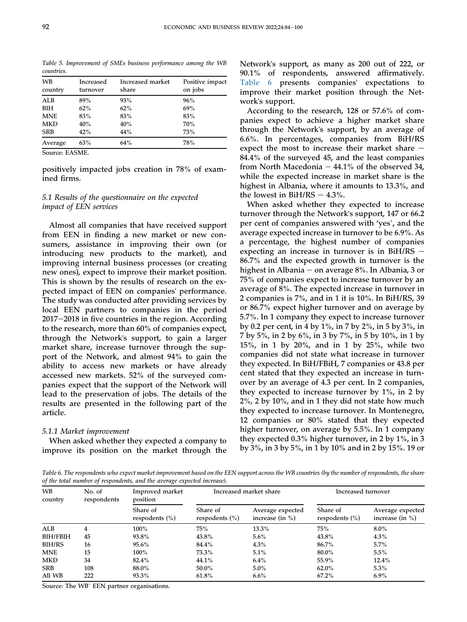<span id="page-9-0"></span>Table 5. Improvement of SMEs business performance among the WB countries.

| <b>WB</b><br>country | Increased<br>turnover | Increased market<br>share | Positive impact<br>on jobs |
|----------------------|-----------------------|---------------------------|----------------------------|
| ALB                  | 89%                   | 93%                       | 96%                        |
| BIH                  | 62%                   | 62%                       | 69%                        |
| <b>MNE</b>           | 83%                   | 83%                       | 83%                        |
| <b>MKD</b>           | 40%                   | 40%                       | 70%                        |
| <b>SRB</b>           | 42%                   | 44%                       | 73%                        |
| Average              | 63%                   | 64%                       | 78%                        |

Source: EASME.

positively impacted jobs creation in 78% of examined firms.

# 5.1 Results of the questionnaire on the expected impact of EEN services

Almost all companies that have received support from EEN in finding a new market or new consumers, assistance in improving their own (or introducing new products to the market), and improving internal business processes (or creating new ones), expect to improve their market position. This is shown by the results of research on the expected impact of EEN on companies' performance. The study was conducted after providing services by local EEN partners to companies in the period  $2017-2018$  in five countries in the region. According to the research, more than 60% of companies expect, through the Network's support, to gain a larger market share, increase turnover through the support of the Network, and almost 94% to gain the ability to access new markets or have already accessed new markets. 52% of the surveyed companies expect that the support of the Network will lead to the preservation of jobs. The details of the results are presented in the following part of the article.

### 5.1.1 Market improvement

When asked whether they expected a company to improve its position on the market through the Network's support, as many as 200 out of 222, or 90.1% of respondents, answered affirmatively. [Table 6](#page-9-1) presents companies' expectations to improve their market position through the Network's support.

According to the research, 128 or 57.6% of companies expect to achieve a higher market share through the Network's support, by an average of 6.6%. In percentages, companies from BiH/RS expect the most to increase their market share  $-$ 84.4% of the surveyed 45, and the least companies from North Macedonia  $-44.1\%$  of the observed 34, while the expected increase in market share is the highest in Albania, where it amounts to 13.3%, and the lowest in BiH/RS  $-$  4.3%.

When asked whether they expected to increase turnover through the Network's support, 147 or 66.2 when asked whether they expected to increase<br>turnover through the Network's support, 147 or 66.2<br>per cent of companies answered with 'yes', and the average expected increase in turnover to be 6.9%. As a percentage, the highest number of companies expecting an increase in turnover is in BiH/RS  $-$ 86.7% and the expected growth in turnover is the highest in Albania – on average  $8\%$ . In Albania, 3 or 75% of companies expect to increase turnover by an average of 8%. The expected increase in turnover in 2 companies is 7%, and in 1 it is 10%. In BiH/RS, 39 or 86.7% expect higher turnover and on average by 5.7%. In 1 company they expect to increase turnover by 0.2 per cent, in 4 by 1%, in 7 by 2%, in 5 by 3%, in 7 by 5%, in 2 by 6%, in 3 by 7%, in 5 by 10%, in 1 by 15%, in 1 by 20%, and in 1 by 25%, while two companies did not state what increase in turnover they expected. In BiH/FBiH, 7 companies or 43.8 per cent stated that they expected an increase in turnover by an average of 4.3 per cent. In 2 companies, they expected to increase turnover by 1%, in 2 by 2%, 2 by 10%, and in 1 they did not state how much they expected to increase turnover. In Montenegro, 12 companies or 80% stated that they expected higher turnover, on average by 5.5%. In 1 company they expected 0.3% higher turnover, in 2 by 1%, in 3 by 3%, in 3 by 5%, in 1 by 10% and in 2 by 15%. 19 or

<span id="page-9-1"></span>Table 6. The respondents who expect market improvement based on the EEN support across the WB countries (by the number of respondents, the share of the total number of respondents, and the average expected increase).

| <b>WB</b><br>country | No. of<br>respondents | Improved market<br>position    |                                | Increased market share                  | Increased turnover             |                                         |
|----------------------|-----------------------|--------------------------------|--------------------------------|-----------------------------------------|--------------------------------|-----------------------------------------|
|                      |                       | Share of<br>respodents $(\% )$ | Share of<br>respodents $(\% )$ | Average expected<br>increase (in $\%$ ) | Share of<br>respodents $(\% )$ | Average expected<br>increase (in $\%$ ) |
| <b>ALB</b>           | $\overline{4}$        | 100%                           | 75%                            | $13.3\%$                                | 75%                            | $8.0\%$                                 |
| <b>BIH/FBIH</b>      | 45                    | 93.8%                          | $43.8\%$                       | $5.6\%$                                 | 43.8%                          | $4.3\%$                                 |
| <b>BIH/RS</b>        | 16                    | $95.6\%$                       | 84.4%                          | $4.3\%$                                 | 86.7%                          | 5.7%                                    |
| <b>MNE</b>           | 15                    | 100%                           | 73.3%                          | $5.1\%$                                 | 80.0%                          | 5.5%                                    |
| <b>MKD</b>           | 34                    | $82.4\%$                       | 44.1%                          | $6.4\%$                                 | 55.9%                          | $12.4\%$                                |
| <b>SRB</b>           | 108                   | 88.0%                          | $50.0\%$                       | $5.0\%$                                 | $62.0\%$                       | $5.3\%$                                 |
| All WB               | 222                   | $93.3\%$                       | $61.8\%$                       | $6.6\%$                                 | $67.2\%$                       | $6.9\%$                                 |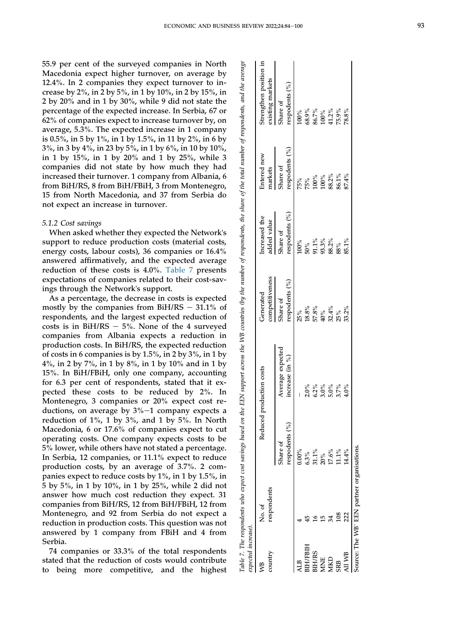55.9 per cent of the surveyed companies in North Macedonia expect higher turnover, on average by 12.4%. In 2 companies they expect turnover to increase by 2%, in 2 by 5%, in 1 by 10%, in 2 by 15%, in 2 by 20% and in 1 by 30%, while 9 did not state the percentage of the expected increase. In Serbia, 67 or 62% of companies expect to increase turnover by, on average, 5.3%. The expected increase in 1 company is 0.5%, in 5 by 1%, in 1 by 1.5%, in 11 by 2%, in 6 by 3%, in 3 by 4%, in 23 by 5%, in 1 by 6%, in 10 by 10%, in 1 by 15%, in 1 by 20% and 1 by 25%, while 3 companies did not state by how much they had increased their turnover. 1 company from Albania, 6 from BiH/RS, 8 from BiH/FBiH, 3 from Montenegro, 15 from North Macedonia, and 37 from Serbia do not expect an increase in turnover.

#### 5.1.2 Cost savings

When asked whether they expected the Network ' s support to reduce production costs (material costs, energy costs, labour costs), 36 companies or 16.4% answered affirmatively, and the expected average reduction of these costs is 4.0%. [Table 7](#page-10-0) presents expectations of companies related to their cost-savings through the Network's support.

As a percentage, the decrease in costs is expected mostly by the companies from BiH/RS  $-31.1\%$  of respondents, and the largest expected reduction of costs is in BiH/RS  $-5\%$ . None of the 4 surveyed companies from Albania expects a reduction in production costs. In BiH/RS, the expected reduction of costs in 6 companies is by 1.5%, in 2 by 3%, in 1 by 4%, in 2 by 7%, in 1 by 8%, in 1 by 10% and in 1 by 15%. In BiH/FBiH, only one company, accounting for 6.3 per cent of respondents, stated that it expected these costs to be reduced by 2%. In Montenegro, 3 companies or 20% expect cost reductions, on average by  $3\%$ -1 company expects a reduction of  $1\%$ , 1 by  $3\%$ , and 1 by  $5\%$ . In North Macedonia, 6 or 17.6% of companies expect to cut operating costs. One company expects costs to be 5% lower, while others have not stated a percentage. In Serbia, 12 companies, or 11.1% expect to reduce production costs, by an average of 3.7%. 2 companies expect to reduce costs by 1%, in 1 by 1.5%, in 5 by 5%, in 1 by 10%, in 1 by 25%, while 2 did not answer how much cost reduction they expect. 31 companies from BiH/RS, 12 from BiH/FBiH, 12 from Montenegro, and 92 from Serbia do not expect a reduction in production costs. This question was not answered by 1 company from FBiH and 4 from Serbia.

74 companies or 33.3% of the total respondents stated that the reduction of costs would contribute to being more competitive, and the highest

<span id="page-10-0"></span>

| expected increase). |                                            | Table 7. The respondents who expect cost savings based on th | he EEN support across the VVB countries (by the number of respondents, the share of the total number of respondents, and the average |                                          |                                                                       |                                                    |                                            |
|---------------------|--------------------------------------------|--------------------------------------------------------------|--------------------------------------------------------------------------------------------------------------------------------------|------------------------------------------|-----------------------------------------------------------------------|----------------------------------------------------|--------------------------------------------|
| country             | respondents<br>No. of                      |                                                              | Reduced production costs                                                                                                             | competitiveness<br>Generated             | Increased the<br>added value                                          | Entered new<br>markets                             | Strengthen position in<br>existing markets |
|                     |                                            | respodents $(\%)$<br>Share of                                | Average expected<br>increase $(in \frac{9}{0})$                                                                                      | respodents (%)<br>Share of               | respodents (%)<br>Share of                                            | respodents $(\%)$<br>Share of                      | respodents (%)<br>Share of                 |
|                     |                                            | $0.00\%$                                                     |                                                                                                                                      |                                          | 100%                                                                  |                                                    |                                            |
| <b>SIH/FBIH</b>     |                                            |                                                              |                                                                                                                                      |                                          |                                                                       |                                                    |                                            |
| <b>BIH/RS</b>       |                                            |                                                              |                                                                                                                                      |                                          |                                                                       |                                                    |                                            |
| <b>MNE</b>          |                                            |                                                              |                                                                                                                                      |                                          |                                                                       |                                                    |                                            |
| <b>MKD</b>          |                                            | $6.3%$<br>$31.1%$<br>$20%$<br>$17.6%$<br>$11%$               | $2.0\%$<br>$2.0\%$<br>$3.0\%$<br>$5.7\%$                                                                                             | %<br>೩ ೩ ೩ %<br>೧ ೩ ೩ ೩ ೩<br>೧ ೩ ೩ ೩ ೩ ೩ | $\begin{array}{l} 50 \% \\ 91.1 \% \\ 93.3 \% \\ 98.2 \% \end{array}$ | $75\%$<br>$75\%$<br>$700\%$<br>$100\%$<br>$83.2\%$ | $100\%$<br>68.9%<br>86.7%<br>100%<br>11.2% |
| <b>SRB</b>          |                                            |                                                              |                                                                                                                                      | $25\%$<br>33.2%                          |                                                                       | 86.1%                                              | 75.9%                                      |
| All WB              | 222                                        | 14.4%                                                        | $4.0\%$                                                                                                                              |                                          | $85.1\%$                                                              | 87.4%                                              | 78.8%                                      |
|                     | Source: The WB' EEN partner organisations. |                                                              |                                                                                                                                      |                                          |                                                                       |                                                    |                                            |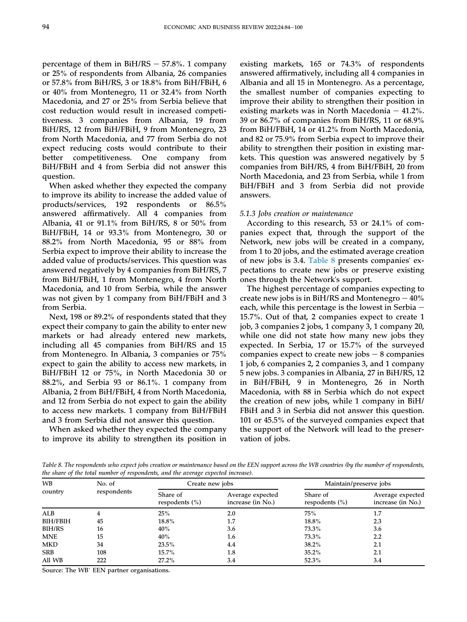percentage of them in  $BiH/RS - 57.8\%$ . 1 company or 25% of respondents from Albania, 26 companies or 57.8% from BiH/RS, 3 or 18.8% from BiH/FBiH, 6 or 40% from Montenegro, 11 or 32.4% from North Macedonia, and 27 or 25% from Serbia believe that cost reduction would result in increased competitiveness. 3 companies from Albania, 19 from BiH/RS, 12 from BiH/FBiH, 9 from Montenegro, 23 from North Macedonia, and 77 from Serbia do not expect reducing costs would contribute to their better competitiveness. One company from BiH/FBiH and 4 from Serbia did not answer this question.

When asked whether they expected the company to improve its ability to increase the added value of products/services, 192 respondents or 86.5% answered affirmatively. All 4 companies from Albania, 41 or 91.1% from BiH/RS, 8 or 50% from BiH/FBiH, 14 or 93.3% from Montenegro, 30 or 88.2% from North Macedonia, 95 or 88% from Serbia expect to improve their ability to increase the added value of products/services. This question was answered negatively by 4 companies from BiH/RS, 7 from BiH/FBiH, 1 from Montenegro, 4 from North Macedonia, and 10 from Serbia, while the answer was not given by 1 company from BiH/FBiH and 3 from Serbia.

Next, 198 or 89.2% of respondents stated that they expect their company to gain the ability to enter new markets or had already entered new markets, including all 45 companies from BiH/RS and 15 from Montenegro. In Albania, 3 companies or 75% expect to gain the ability to access new markets, in BiH/FBiH 12 or 75%, in North Macedonia 30 or 88.2%, and Serbia 93 or 86.1%. 1 company from Albania, 2 from BiH/FBiH, 4 from North Macedonia, and 12 from Serbia do not expect to gain the ability to access new markets. 1 company from BiH/FBiH and 3 from Serbia did not answer this question.

When asked whether they expected the company to improve its ability to strengthen its position in existing markets, 165 or 74.3% of respondents answered affirmatively, including all 4 companies in Albania and all 15 in Montenegro. As a percentage, the smallest number of companies expecting to improve their ability to strengthen their position in existing markets was in North Macedonia  $-41.2\%$ . 39 or 86.7% of companies from BiH/RS, 11 or 68.9% from BiH/FBiH, 14 or 41.2% from North Macedonia, and 82 or 75.9% from Serbia expect to improve their ability to strengthen their position in existing markets. This question was answered negatively by 5 companies from BiH/RS, 4 from BiH/FBiH, 20 from North Macedonia, and 23 from Serbia, while 1 from BiH/FBiH and 3 from Serbia did not provide answers.

#### 5.1.3 Jobs creation or maintenance

According to this research, 53 or 24.1% of companies expect that, through the support of the Network, new jobs will be created in a company, from 1 to 20 jobs, and the estimated average creation of new jobs is 3.4. [Table 8](#page-11-0) presents companies' expectations to create new jobs or preserve existing ones through the Network's support.

The highest percentage of companies expecting to create new jobs is in BiH/RS and Montenegro  $-40\%$ each, while this percentage is the lowest in Serbia  $-$ 15.7%. Out of that, 2 companies expect to create 1 job, 3 companies 2 jobs, 1 company 3, 1 company 20, while one did not state how many new jobs they expected. In Serbia, 17 or 15.7% of the surveyed companies expect to create new jobs  $-8$  companies 1 job, 6 companies 2, 2 companies 3, and 1 company 5 new jobs. 3 companies in Albania, 27 in BiH/RS, 12 in BiH/FBiH, 9 in Montenegro, 26 in North Macedonia, with 88 in Serbia which do not expect the creation of new jobs, while 1 company in BiH/ FBiH and 3 in Serbia did not answer this question. 101 or 45.5% of the surveyed companies expect that the support of the Network will lead to the preservation of jobs.

<span id="page-11-0"></span>Table 8. The respondents who expect jobs creation or maintenance based on the EEN support across the WB countries (by the number of respondents, the share of the total number of respondents, and the average expected increase).

| <b>WB</b>       | No. of      | Create new jobs                |                                       |                                | Maintain/preserve jobs                |  |
|-----------------|-------------|--------------------------------|---------------------------------------|--------------------------------|---------------------------------------|--|
| country         | respondents | Share of<br>respodents $(\% )$ | Average expected<br>increase (in No.) | Share of<br>respodents $(\% )$ | Average expected<br>increase (in No.) |  |
| ALB             |             | 25%                            | 2.0                                   | <b>75%</b>                     | 1.7                                   |  |
| <b>BIH/FBIH</b> | 45          | 18.8%                          | 1.7                                   | 18.8%                          | 2.3                                   |  |
| BIH/RS          | 16          | 40%                            | 3.6                                   | 73.3%                          | 3.6                                   |  |
| <b>MNE</b>      | 15          | 40%                            | 1.6                                   | 73.3%                          | 2.2                                   |  |
| <b>MKD</b>      | 34          | $23.5\%$                       | 4.4                                   | $38.2\%$                       | 2.1                                   |  |
| <b>SRB</b>      | 108         | 15.7%                          | 1.8                                   | $35.2\%$                       | 2.1                                   |  |
| All WB          | 222         | $27.2\%$                       | 3.4                                   | $52.3\%$                       | 3.4                                   |  |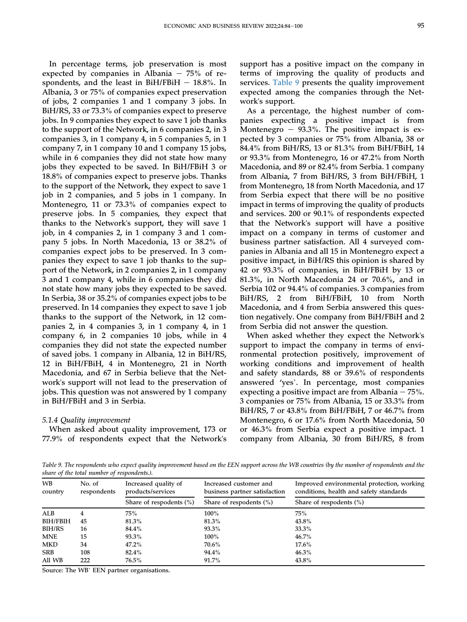In percentage terms, job preservation is most expected by companies in Albania  $-75%$  of respondents, and the least in BiH/FBiH  $-$  18.8%. In Albania, 3 or 75% of companies expect preservation of jobs, 2 companies 1 and 1 company 3 jobs. In BiH/RS, 33 or 73.3% of companies expect to preserve jobs. In 9 companies they expect to save 1 job thanks to the support of the Network, in 6 companies 2, in 3 companies 3, in 1 company 4, in 5 companies 5, in 1 company 7, in 1 company 10 and 1 company 15 jobs, while in 6 companies they did not state how many jobs they expected to be saved. In BiH/FBiH 3 or 18.8% of companies expect to preserve jobs. Thanks to the support of the Network, they expect to save 1 job in 2 companies, and 5 jobs in 1 company. In Montenegro, 11 or 73.3% of companies expect to preserve jobs. In 5 companies, they expect that thanks to the Network's support, they will save 1 job, in 4 companies 2, in 1 company 3 and 1 company 5 jobs. In North Macedonia, 13 or 38.2% of companies expect jobs to be preserved. In 3 companies they expect to save 1 job thanks to the support of the Network, in 2 companies 2, in 1 company 3 and 1 company 4, while in 6 companies they did not state how many jobs they expected to be saved. In Serbia, 38 or 35.2% of companies expect jobs to be preserved. In 14 companies they expect to save 1 job thanks to the support of the Network, in 12 companies 2, in 4 companies 3, in 1 company 4, in 1 company 6, in 2 companies 10 jobs, while in 4 companies they did not state the expected number of saved jobs. 1 company in Albania, 12 in BiH/RS, 12 in BiH/FBiH, 4 in Montenegro, 21 in North Macedonia, and 67 in Serbia believe that the Network's support will not lead to the preservation of jobs. This question was not answered by 1 company in BiH/FBiH and 3 in Serbia.

#### 5.1.4 Quality improvement

When asked about quality improvement, 173 or 77.9% of respondents expect that the Network's support has a positive impact on the company in terms of improving the quality of products and services. [Table 9](#page-12-0) presents the quality improvement expected among the companies through the Network's support.

As a percentage, the highest number of companies expecting a positive impact is from Montenegro  $-$  93.3%. The positive impact is expected by 3 companies or 75% from Albania, 38 or 84.4% from BiH/RS, 13 or 81.3% from BiH/FBiH, 14 or 93.3% from Montenegro, 16 or 47.2% from North Macedonia, and 89 or 82.4% from Serbia. 1 company from Albania, 7 from BiH/RS, 3 from BiH/FBiH, 1 from Montenegro, 18 from North Macedonia, and 17 from Serbia expect that there will be no positive impact in terms of improving the quality of products and services. 200 or 90.1% of respondents expected that the Network's support will have a positive impact on a company in terms of customer and business partner satisfaction. All 4 surveyed companies in Albania and all 15 in Montenegro expect a positive impact, in BiH/RS this opinion is shared by 42 or 93.3% of companies, in BiH/FBiH by 13 or 81.3%, in North Macedonia 24 or 70.6%, and in Serbia 102 or 94.4% of companies. 3 companies from BiH/RS, 2 from BiH/FBiH, 10 from North Macedonia, and 4 from Serbia answered this question negatively. One company from BiH/FBiH and 2 from Serbia did not answer the question.

When asked whether they expect the Network's support to impact the company in terms of environmental protection positively, improvement of working conditions and improvement of health and safety standards, 88 or 39.6% of respondents working conditions and improvement of neather<br>and safety standards, 88 or 39.6% of respondents<br>answered 'yes'. In percentage, most companies expecting a positive impact are from Albania  $-75%$ . 3 companies or 75% from Albania, 15 or 33.3% from BiH/RS, 7 or 43.8% from BiH/FBiH, 7 or 46.7% from Montenegro, 6 or 17.6% from North Macedonia, 50 or 46.3% from Serbia expect a positive impact. 1 company from Albania, 30 from BiH/RS, 8 from

<span id="page-12-0"></span>Table 9. The respondents who expect quality improvement based on the EEN support across the WB countries (by the number of respondents and the share of the total number of respondents.).

| <b>WB</b><br>country | No. of<br>respondents | Increased quality of<br>products/services | Increased customer and<br>business partner satisfaction | Improved environmental protection, working<br>conditions, health and safety standards |
|----------------------|-----------------------|-------------------------------------------|---------------------------------------------------------|---------------------------------------------------------------------------------------|
|                      |                       | Share of respodents $(\% )$               | Share of respodents $(\% )$                             | Share of respodents $(\% )$                                                           |
| ALB                  |                       | 75%                                       | $100\%$                                                 | 75%                                                                                   |
| <b>BIH/FBIH</b>      | 45                    | $81.3\%$                                  | 81.3%                                                   | 43.8%                                                                                 |
| BIH/RS               | 16                    | $84.4\%$                                  | $93.3\%$                                                | $33.3\%$                                                                              |
| <b>MNE</b>           | 15                    | $93.3\%$                                  | $100\%$                                                 | $46.7\%$                                                                              |
| <b>MKD</b>           | 34                    | $47.2\%$                                  | 70.6%                                                   | $17.6\%$                                                                              |
| <b>SRB</b>           | 108                   | 82.4%                                     | 94.4%                                                   | $46.3\%$                                                                              |
| All WB               | 222                   | $76.5\%$                                  | $91.7\%$                                                | 43.8%                                                                                 |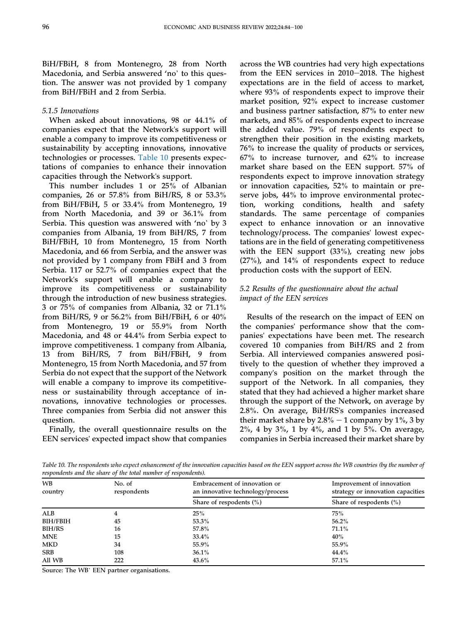BiH/FBiH, 8 from Montenegro, 28 from North Macedonia, and Serbia answered 'no' to this question. The answer was not provided by 1 company from BiH/FBiH and 2 from Serbia.

# 5.1.5 Innovations

When asked about innovations, 98 or 44.1% of companies expect that the Network's support will enable a company to improve its competitiveness or sustainability by accepting innovations, innovative technologies or processes. [Table 10](#page-13-0) presents expectations of companies to enhance their innovation capacities through the Network's support.

This number includes 1 or 25% of Albanian companies, 26 or 57.8% from BiH/RS, 8 or 53.3% from BiH/FBiH, 5 or 33.4% from Montenegro, 19 from North Macedonia, and 39 or 36.1% from Irom Birt/FBIH, 3 or 33.4% from Montenegro, 19<br>from North Macedonia, and 39 or 36.1% from<br>Serbia. This question was answered with 'no' by 3 companies from Albania, 19 from BiH/RS, 7 from BiH/FBiH, 10 from Montenegro, 15 from North Macedonia, and 66 from Serbia, and the answer was not provided by 1 company from FBiH and 3 from Serbia. 117 or 52.7% of companies expect that the Network's support will enable a company to improve its competitiveness or sustainability through the introduction of new business strategies. 3 or 75% of companies from Albania, 32 or 71.1% from BiH/RS, 9 or 56.2% from BiH/FBiH, 6 or 40% from Montenegro, 19 or 55.9% from North Macedonia, and 48 or 44.4% from Serbia expect to improve competitiveness. 1 company from Albania, 13 from BiH/RS, 7 from BiH/FBiH, 9 from Montenegro, 15 from North Macedonia, and 57 from Serbia do not expect that the support of the Network will enable a company to improve its competitiveness or sustainability through acceptance of innovations, innovative technologies or processes. Three companies from Serbia did not answer this question.

Finally, the overall questionnaire results on the EEN services' expected impact show that companies

across the WB countries had very high expectations from the EEN services in  $2010-2018$ . The highest expectations are in the field of access to market, where 93% of respondents expect to improve their market position, 92% expect to increase customer and business partner satisfaction, 87% to enter new markets, and 85% of respondents expect to increase the added value. 79% of respondents expect to strengthen their position in the existing markets, 76% to increase the quality of products or services, 67% to increase turnover, and 62% to increase market share based on the EEN support. 57% of respondents expect to improve innovation strategy or innovation capacities, 52% to maintain or preserve jobs, 44% to improve environmental protection, working conditions, health and safety standards. The same percentage of companies expect to enhance innovation or an innovative technology/process. The companies' lowest expectations are in the field of generating competitiveness with the EEN support (33%), creating new jobs (27%), and 14% of respondents expect to reduce production costs with the support of EEN.

# 5.2 Results of the questionnaire about the actual impact of the EEN services

Results of the research on the impact of EEN on the companies' performance show that the companies' expectations have been met. The research covered 10 companies from BiH/RS and 2 from Serbia. All interviewed companies answered positively to the question of whether they improved a company's position on the market through the support of the Network. In all companies, they stated that they had achieved a higher market share through the support of the Network, on average by 2.8%. On average, BiH/RS's companies increased their market share by  $2.8\%$  – 1 company by 1%, 3 by  $2\%$ , 4 by  $3\%$ , 1 by  $4\%$ , and 1 by  $5\%$ . On average, companies in Serbia increased their market share by

<span id="page-13-0"></span>Table 10. The respondents who expect enhancement of the innovation capacities based on the EEN support across the WB countries (by the number of respondents and the share of the total number of respondents).

| <b>WB</b><br>country | No. of<br>respondents | Embracement of innovation or<br>an innovative technology/process | Improvement of innovation<br>strategy or innovation capacities |
|----------------------|-----------------------|------------------------------------------------------------------|----------------------------------------------------------------|
|                      |                       | Share of respodents $(\% )$                                      | Share of respodents $(\% )$                                    |
| ALB                  | 4                     | 25%                                                              | 75%                                                            |
| <b>BIH/FBIH</b>      | 45                    | $53.3\%$                                                         | $56.2\%$                                                       |
| BIH/RS               | 16                    | 57.8%                                                            | 71.1%                                                          |
| <b>MNE</b>           | 15                    | $33.4\%$                                                         | 40%                                                            |
| <b>MKD</b>           | 34                    | 55.9%                                                            | 55.9%                                                          |
| <b>SRB</b>           | 108                   | $36.1\%$                                                         | 44.4%                                                          |
| All WB               | 222                   | $43.6\%$                                                         | 57.1%                                                          |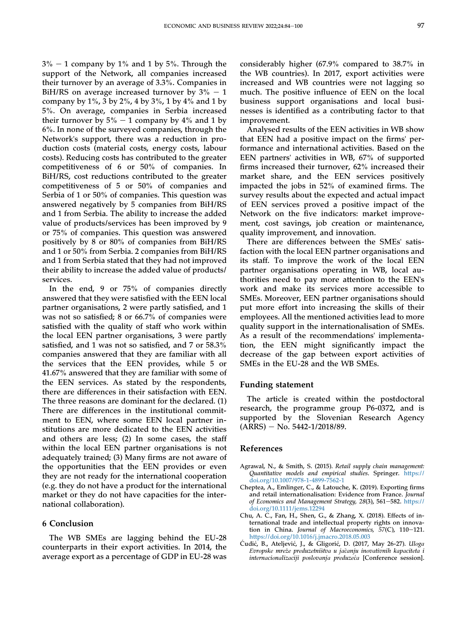$3\% - 1$  company by 1% and 1 by 5%. Through the support of the Network, all companies increased their turnover by an average of 3.3%. Companies in BiH/RS on average increased turnover by  $3\% - 1$ company by 1%, 3 by 2%, 4 by 3%, 1 by 4% and 1 by 5%. On average, companies in Serbia increased their turnover by  $5\% - 1$  company by  $4\%$  and 1 by 6%. In none of the surveyed companies, through the Network's support, there was a reduction in production costs (material costs, energy costs, labour costs). Reducing costs has contributed to the greater competitiveness of 6 or 50% of companies. In BiH/RS, cost reductions contributed to the greater competitiveness of 5 or 50% of companies and Serbia of 1 or 50% of companies. This question was answered negatively by 5 companies from BiH/RS and 1 from Serbia. The ability to increase the added value of products/services has been improved by 9 or 75% of companies. This question was answered positively by 8 or 80% of companies from BiH/RS and 1 or 50% from Serbia. 2 companies from BiH/RS and 1 from Serbia stated that they had not improved their ability to increase the added value of products/ services.

In the end, 9 or 75% of companies directly answered that they were satisfied with the EEN local partner organisations, 2 were partly satisfied, and 1 was not so satisfied; 8 or 66.7% of companies were satisfied with the quality of staff who work within the local EEN partner organisations, 3 were partly satisfied, and 1 was not so satisfied, and 7 or 58.3% companies answered that they are familiar with all the services that the EEN provides, while 5 or 41.67% answered that they are familiar with some of the EEN services. As stated by the respondents, there are differences in their satisfaction with EEN. The three reasons are dominant for the declared. (1) There are differences in the institutional commitment to EEN, where some EEN local partner institutions are more dedicated to the EEN activities and others are less; (2) In some cases, the staff within the local EEN partner organisations is not adequately trained; (3) Many firms are not aware of the opportunities that the EEN provides or even they are not ready for the international cooperation (e.g. they do not have a product for the international market or they do not have capacities for the international collaboration).

# 6 Conclusion

The WB SMEs are lagging behind the EU-28 counterparts in their export activities. In 2014, the average export as a percentage of GDP in EU-28 was considerably higher (67.9% compared to 38.7% in the WB countries). In 2017, export activities were increased and WB countries were not lagging so much. The positive influence of EEN on the local business support organisations and local businesses is identified as a contributing factor to that improvement.

Analysed results of the EEN activities in WB show that EEN had a positive impact on the firms' performance and international activities. Based on the EEN partners' activities in WB, 67% of supported firms increased their turnover, 62% increased their market share, and the EEN services positively impacted the jobs in 52% of examined firms. The survey results about the expected and actual impact of EEN services proved a positive impact of the Network on the five indicators: market improvement, cost savings, job creation or maintenance, quality improvement, and innovation.

There are differences between the SMEs' satisfaction with the local EEN partner organisations and its staff. To improve the work of the local EEN partner organisations operating in WB, local authorities need to pay more attention to the EEN's work and make its services more accessible to SMEs. Moreover, EEN partner organisations should put more effort into increasing the skills of their employees. All the mentioned activities lead to more quality support in the internationalisation of SMEs. As a result of the recommendations' implementation, the EEN might significantly impact the decrease of the gap between export activities of SMEs in the EU-28 and the WB SMEs.

#### Funding statement

The article is created within the postdoctoral research, the programme group P6-0372, and is supported by the Slovenian Research Agency  $(ARRS) - No. 5442-1/2018/89.$ 

#### References

- <span id="page-14-1"></span>Agrawal, N., & Smith, S. (2015). Retail supply chain management: Quantitative models and empirical studies. Springer. [https://](https://doi.org/10.1007/978-1-4899-7562-1) [doi.org/10.1007/978-1-4899-7562-1](https://doi.org/10.1007/978-1-4899-7562-1)
- <span id="page-14-3"></span>Cheptea, A., Emlinger, C., & Latouche, K. (2019). Exporting firms and retail internationalisation: Evidence from France. Journal of Economics and Management Strategy, 28(3), 561-582. [https://](https://doi.org/10.1111/jems.12294) [doi.org/10.1111/jems.12294](https://doi.org/10.1111/jems.12294)
- <span id="page-14-2"></span>Chu, A. C., Fan, H., Shen, G., & Zhang, X. (2018). Effects of international trade and intellectual property rights on innovation in China. Journal of Macroeconomics,  $57(C)$ , 110-121. <https://doi.org/10.1016/j.jmacro.2018.05.003>
- <span id="page-14-0"></span>Cudić, B., Ateljević, J., & Gligorić, D. (2017, May 26-27). Uloga Еvrоpskе mrеzе prеduzеtnistvа u jаcаnju inоvаtivnih kаpаcitеtа i internacionalizaciji poslovanja preduzeća [Conference session].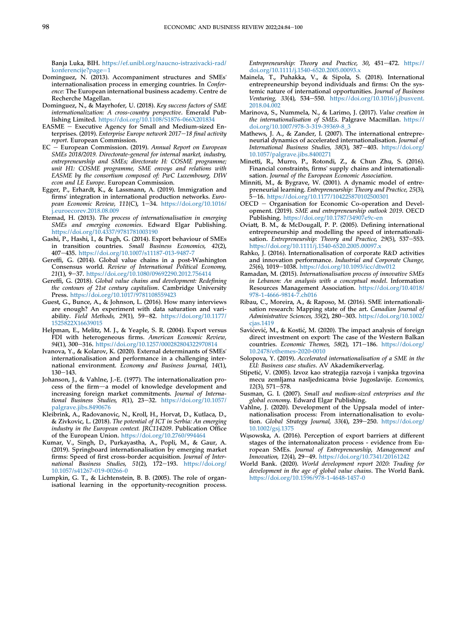Banja Luka, BIH. [https://ef.unibl.org/naucno-istrazivacki-rad/](https://ef.unibl.org/naucno-istrazivacki-rad/konferencije?page=1) [konferencije?page](https://ef.unibl.org/naucno-istrazivacki-rad/konferencije?page=1)=[1](https://ef.unibl.org/naucno-istrazivacki-rad/konferencije?page=1)

- <span id="page-15-5"></span>Dominguez, N. (2013). Accompaniment structures and SMEs' internationalisation process in emerging countries. In Conference: The European international business academy. Centre de Recherche Magellan.
- <span id="page-15-29"></span>Dominguez, N., & Mayrhofer, U. (2018). Key success factors of SME internationalization: A cross-country perspective. Emerald Publishing Limited. <https://doi.org/10.1108/S1876-066X201834>
- <span id="page-15-6"></span>EASME  $-$  Executive Agency for Small and Medium-sized Enterprises. (2019). Enterprise Europe network 2017-18 final activity report. European Commission.
- <span id="page-15-9"></span> $EC - European Commission.$  (2019). Annual Report on European SMEs 2018/2019. Directorate-general for internal market, industry, entrepreneurship and SMEs; directorate H: COSME programme; unit H1: COSME programme, SME envoys and relations with EASME by the consortium composed of: PwC Luxembourg, DIW econ and LE Europe. European Commission.
- <span id="page-15-7"></span>Egger, P., Erhardt, K., & Lassmann, A. (2019). Immigration and firms' integration in international production networks. European Economic Review,  $111(C)$ ,  $1-34$ . [https://doi.org/10.1016/](https://doi.org/10.1016/j.euroecorev.2018.08.009) [j.euroecorev.2018.08.009](https://doi.org/10.1016/j.euroecorev.2018.08.009)
- <span id="page-15-16"></span>Etemad, H. (2013). The process of internationalisation in emerging SMEs and emerging economies. Edward Elgar Publishing. <https://doi.org/10.4337/9781781003190>
- <span id="page-15-3"></span>Gashi, P., Hashi, I., & Pugh, G. (2014). Export behaviour of SMEs in transition countries. Small Business Economics, 42(2), 407-435. https://doi.org/10.1007/s11187-013-9487-
- <span id="page-15-13"></span>Gereffi, G. (2014). Global value chains in a post-Washington Consensus world. Review of International Political Economy, 21(1), 9-37. <https://doi.org/10.1080/09692290.2012.756414>
- <span id="page-15-14"></span>Gereffi, G. (2018). Global value chains and development: Redefining the contours of 21st century capitalism. Cambridge University Press. <https://doi.org/10.1017/9781108559423>
- <span id="page-15-32"></span>Guest, G., Bunce, A., & Johnson, L. (2016). How many interviews are enough? An experiment with data saturation and variability. Field Methods, 29(1), 59-82. [https://doi.org/10.1177/](https://doi.org/10.1177/1525822X16639015) [1525822X16639015](https://doi.org/10.1177/1525822X16639015)
- <span id="page-15-20"></span>Helpman, E., Melitz, M. J., & Yeaple, S. R. (2004). Export versus FDI with heterogeneous firms. American Economic Review, 94(1), 300-316. <https://doi.org/10.1257/000282804322970814>
- <span id="page-15-8"></span>Ivanova, Y., & Kolarov, K. (2020). External determinants of SMEs' internationalisation and performance in a challenging international environment. Economy and Business Journal, 14(1),  $130 - 143.$
- <span id="page-15-0"></span>Johanson, J., & Vahlne, J.-E. (1977). The internationalization process of the firm-a model of knowledge development and increasing foreign market commitments. Journal of International Business Studies,  $8(1)$ , 23-32. [https://doi.org/10.1057/](https://doi.org/10.1057/palgrave.jibs.8490676) [palgrave.jibs.8490676](https://doi.org/10.1057/palgrave.jibs.8490676)
- <span id="page-15-25"></span>Kleibrink, A., Radovanovic, N., Kroll, H., Horvat, D., Kutlaca, D., & Zivkovic, L. (2018). The potential of ICT in Serbia: An emerging industry in the European context. JRC114209. Publication Office of the European Union. <https://doi.org/10.2760/994464>
- <span id="page-15-23"></span>Kumar, V., Singh, D., Purkayastha, A., Popli, M., & Gaur, A. (2019). Springboard internationalisation by emerging market firms: Speed of first cross-border acquisition. Journal of International Business Studies, 51(2), 172-193. [https://doi.org/](https://doi.org/10.1057/s41267-019-00266-0) [10.1057/s41267-019-00266-0](https://doi.org/10.1057/s41267-019-00266-0)
- <span id="page-15-17"></span>Lumpkin, G. T., & Lichtenstein, B. B. (2005). The role of organisational learning in the opportunity-recognition process.

Entrepreneurship: Theory and Practice, 30, 451-472. [https://](https://doi.org/10.1111/j.1540-6520.2005.00093.x) [doi.org/10.1111/j.1540-6520.2005.00093.x](https://doi.org/10.1111/j.1540-6520.2005.00093.x)

- <span id="page-15-21"></span>Mainela, T., Puhakka, V., & Sipola, S. (2018). International entrepreneurship beyond individuals and firms: On the systemic nature of international opportunities. Journal of Business Venturing, 33(4), 534–550. [https://doi.org/10.1016/j.jbusvent.](https://doi.org/10.1016/j.jbusvent.2018.04.002) [2018.04.002](https://doi.org/10.1016/j.jbusvent.2018.04.002)
- <span id="page-15-30"></span>Marinova, S., Nummela, N., & Larimo, J. (2017). Value creation in the internationalisation of SMEs. Palgrave Macmillan. [https://](https://doi.org/10.1007/978-3-319-39369-8_3) [doi.org/10.1007/978-3-319-39369-8\\_3](https://doi.org/10.1007/978-3-319-39369-8_3)
- <span id="page-15-18"></span>Mathews, J. A., & Zander, I. (2007). The international entrepreneurial dynamics of accelerated internationalisation. Journal of International Business Studies, 38(3), 387-403. [https://doi.org/](https://doi.org/10.1057/palgrave.jibs.8400271) [10.1057/palgrave.jibs.8400271](https://doi.org/10.1057/palgrave.jibs.8400271)
- <span id="page-15-28"></span>Minetti, R., Murro, P., Rotondi, Z., & Chun Zhu, S. (2016). Financial constraints, firms' supply chains and internationalisation. Journal of the European Economic Association.
- <span id="page-15-19"></span>Minniti, M., & Bygrave, W. (2001). A dynamic model of entrepreneurial learning. Entrepreneurship: Theory and Practice, 25(3), 5-16. <https://doi.org/10.1177/104225870102500301>
- <span id="page-15-4"></span>OECD - Organisation for Economic Co-operation and Development. (2019). SME and entrepreneurship outlook 2019. OECD Publishing. <https://doi.org/10.1787/34907e9c-en>
- <span id="page-15-12"></span>Oviatt, B. M., & McDougall, P. P. (2005). Defining international entrepreneurship and modelling the speed of internationalisation. Entrepreneurship: Theory and Practice, 29(5), 537-553. <https://doi.org/10.1111/j.1540-6520.2005.00097.x>
- <span id="page-15-22"></span>Rahko, J. (2016). Internationalisation of corporate R&D activities and innovation performance. Industrial and Corporate Change, 25(6), 1019-1038. <https://doi.org/10.1093/icc/dtw012>
- <span id="page-15-10"></span>Ramadan, M. (2015). Internationalisation process of innovative SMEs in Lebanon: An analysis with a conceptual model. Information Resources Management Association. [https://doi.org/10.4018/](https://doi.org/10.4018/978-1-4666-9814-7.ch016) [978-1-4666-9814-7.ch016](https://doi.org/10.4018/978-1-4666-9814-7.ch016)
- <span id="page-15-1"></span>Ribau, C., Moreira, A., & Raposo, M. (2016). SME internationalisation research: Mapping state of the art. Canadian Journal of Administrative Sciences, 35(2), 280-303. [https://doi.org/10.1002/](https://doi.org/10.1002/cjas.1419) [cjas.1419](https://doi.org/10.1002/cjas.1419)
- <span id="page-15-24"></span>Savićević, M., & Kostić, M. (2020). The impact analysis of foreign direct investment on export: The case of the Western Balkan countries. Economic Themes, 58(2), 171-186. [https://doi.org/](https://doi.org/10.2478/ethemes-2020-0010) [10.2478/ethemes-2020-0010](https://doi.org/10.2478/ethemes-2020-0010)
- <span id="page-15-31"></span>Solopova, Y. (2019). Accelerated internationalisation of a SME in the EU: Business case studies. AV Akademikerverlag.
- <span id="page-15-27"></span>Stipetic, V. (2005). Izvoz kao strategija razvoja i vanjska trgovina mecu zemljama nasljednicama bivše Jugoslavije. Economics,  $12(3)$ , 571-578.
- <span id="page-15-2"></span>Susman, G. I. (2007). Small and medium-sized enterprises and the global economy. Edward Elgar Publishing.
- <span id="page-15-11"></span>Vahlne, J. (2020). Development of the Uppsala model of internationalisation process: From internationalisation to evolution. Global Strategy Journal, 33(4), 239-250. [https://doi.org/](https://doi.org/10.1002/gsj.1375) [10.1002/gsj.1375](https://doi.org/10.1002/gsj.1375)
- <span id="page-15-26"></span>Wąsowska, A. (2016). Perception of export barriers at different stages of the internatonalizaton process - evidence from European SMEs. Journal of Entrepreneurship, Management and Innovation, 12(4), 29-49. <https://doi.org/10.7341/20161242>
- <span id="page-15-15"></span>World Bank. (2020). World development report 2020: Trading for development in the age of global value chains. The World Bank. <https://doi.org/10.1596/978-1-4648-1457-0>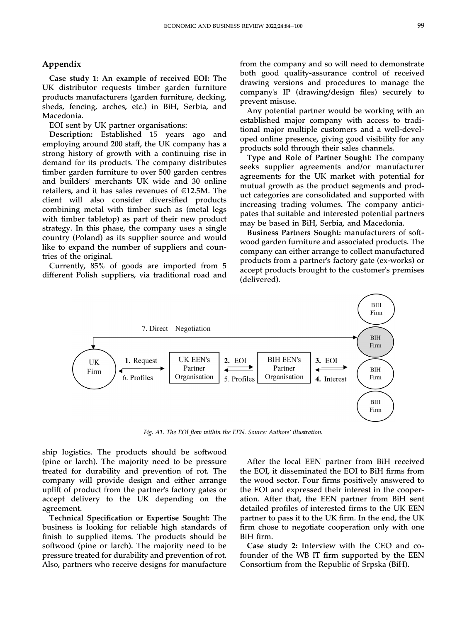# Appendix

Case study 1: An example of received EOI: The UK distributor requests timber garden furniture products manufacturers (garden furniture, decking, sheds, fencing, arches, etc.) in BiH, Serbia, and Macedonia.

EOI sent by UK partner organisations:

Description: Established 15 years ago and employing around 200 staff, the UK company has a strong history of growth with a continuing rise in demand for its products. The company distributes timber garden furniture to over 500 garden centres and builders' merchants UK wide and 30 online retailers, and it has sales revenues of  $E12.5M$ . The client will also consider diversified products combining metal with timber such as (metal legs with timber tabletop) as part of their new product strategy. In this phase, the company uses a single country (Poland) as its supplier source and would like to expand the number of suppliers and countries of the original.

Currently, 85% of goods are imported from 5 different Polish suppliers, via traditional road and from the company and so will need to demonstrate both good quality-assurance control of received drawing versions and procedures to manage the company's IP (drawing/design files) securely to prevent misuse.

Any potential partner would be working with an established major company with access to traditional major multiple customers and a well-developed online presence, giving good visibility for any products sold through their sales channels.

Type and Role of Partner Sought: The company seeks supplier agreements and/or manufacturer agreements for the UK market with potential for mutual growth as the product segments and product categories are consolidated and supported with increasing trading volumes. The company anticipates that suitable and interested potential partners may be based in BiH, Serbia, and Macedonia.

Business Partners Sought: manufacturers of softwood garden furniture and associated products. The company can either arrange to collect manufactured products from a partner's factory gate (ex-works) or accept products brought to the customer's premises (delivered).



Fig. A1. The EOI flow within the EEN. Source: Authors' illustration.

ship logistics. The products should be softwood (pine or larch). The majority need to be pressure treated for durability and prevention of rot. The company will provide design and either arrange uplift of product from the partner's factory gates or accept delivery to the UK depending on the agreement.

Technical Specification or Expertise Sought: The business is looking for reliable high standards of finish to supplied items. The products should be softwood (pine or larch). The majority need to be pressure treated for durability and prevention of rot. Also, partners who receive designs for manufacture

After the local EEN partner from BiH received the EOI, it disseminated the EOI to BiH firms from the wood sector. Four firms positively answered to the EOI and expressed their interest in the cooperation. After that, the EEN partner from BiH sent detailed profiles of interested firms to the UK EEN partner to pass it to the UK firm. In the end, the UK firm chose to negotiate cooperation only with one BiH firm.

Case study 2: Interview with the CEO and cofounder of the WB IT firm supported by the EEN Consortium from the Republic of Srpska (BiH).